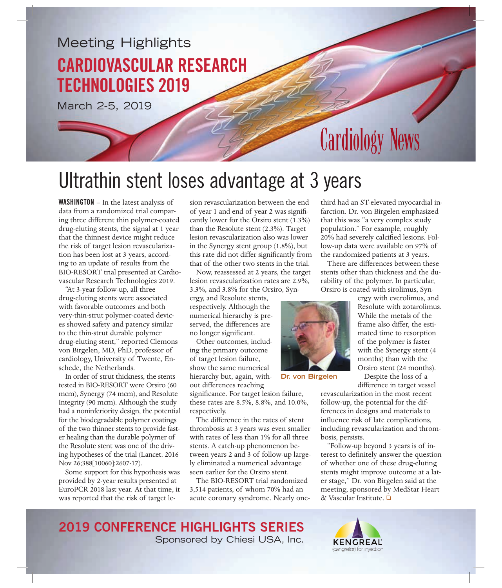### Meeting Highlights CARDIOVASCULAR RESEARCH TECHNOLOGIES 2019

March 2-5, 2019

# **Cardiology News**

# Ultrathin stent loses advantage at 3 years

WASHINGTON – In the latest analysis of data from a randomized trial comparing three different thin polymer-coated drug-eluting stents, the signal at 1 year that the thinnest device might reduce the risk of target lesion revascularization has been lost at 3 years, according to an update of results from the BIO-RESORT trial presented at Cardiovascular Research Technologies 2019.

"At 3-year follow-up, all three drug-eluting stents were associated with favorable outcomes and both very-thin-strut polymer-coated devices showed safety and patency similar to the thin-strut durable polymer drug-eluting stent," reported Clemons von Birgelen, MD, PhD, professor of cardiology, University of Twente, Enschede, the Netherlands.

In order of strut thickness, the stents tested in BIO-RESORT were Orsiro (60 mcm), Synergy (74 mcm), and Resolute Integrity (90 mcm). Although the study had a noninferiority design, the potential for the biodegradable polymer coatings of the two thinner stents to provide faster healing than the durable polymer of the Resolute stent was one of the driving hypotheses of the trial (Lancet. 2016 Nov 26;388[10060]:2607-17).

Some support for this hypothesis was provided by 2-year results presented at EuroPCR 2018 last year. At that time, it was reported that the risk of target lesion revascularization between the end of year 1 and end of year 2 was significantly lower for the Orsiro stent (1.3%) than the Resolute stent (2.3%). Target lesion revascularization also was lower in the Synergy stent group (1.8%), but this rate did not differ significantly from that of the other two stents in the trial.

Now, reassessed at 2 years, the target lesion revascularization rates are 2.9%, 3.3%, and 3.8% for the Orsiro, Syn-

ergy, and Resolute stents, respectively. Although the numerical hierarchy is preserved, the differences are no longer significant.

Other outcomes, including the primary outcome of target lesion failure, show the same numerical hierarchy but, again, without differences reaching

significance. For target lesion failure, these rates are 8.5%, 8.8%, and 10.0%, respectively.

The difference in the rates of stent thrombosis at 3 years was even smaller with rates of less than 1% for all three stents. A catch-up phenomenon between years 2 and 3 of follow-up largely eliminated a numerical advantage seen earlier for the Orsiro stent.

The BIO-RESORT trial randomized 3,514 patients, of whom 70% had an acute coronary syndrome. Nearly one-

third had an ST-elevated myocardial infarction. Dr. von Birgelen emphasized that this was "a very complex study population." For example, roughly 20% had severely calcified lesions. Follow-up data were available on 97% of the randomized patients at 3 years.

There are differences between these stents other than thickness and the durability of the polymer. In particular, Orsiro is coated with sirolimus, Syn-



**Dr. von Birgelen**

ergy with everolimus, and Resolute with zotarolimus. While the metals of the frame also differ, the estimated time to resorption of the polymer is faster with the Synergy stent (4 months) than with the Orsiro stent (24 months).

Despite the loss of a difference in target vessel

revascularization in the most recent follow-up, the potential for the differences in designs and materials to influence risk of late complications, including revascularization and thrombosis, persists.

"Follow-up beyond 3 years is of interest to definitely answer the question of whether one of these drug-eluting stents might improve outcome at a later stage," Dr. von Birgelen said at the meeting, sponsored by MedStar Heart  $\&$  Vascular Institute.  $\Box$ 

2019 CONFERENCE HIGHLIGHTS SERIES Sponsored by Chiesi USA, Inc.

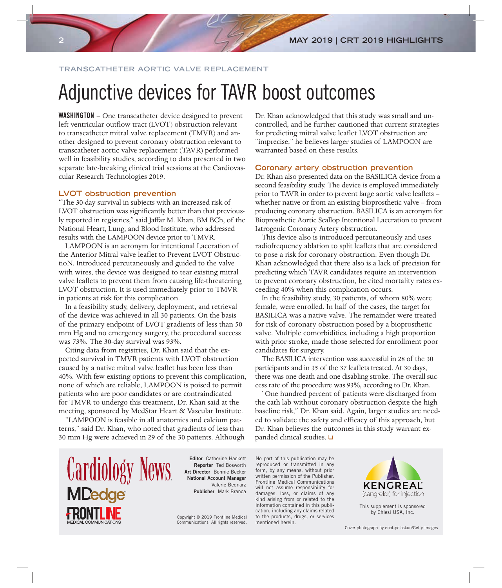#### **TRANSCATHETER AORTIC VALVE REPLACEMENT**

# Adjunctive devices for TAVR boost outcomes

WASHINGTON – One transcatheter device designed to prevent left ventricular outflow tract (LVOT) obstruction relevant to transcatheter mitral valve replacement (TMVR) and another designed to prevent coronary obstruction relevant to transcatheter aortic valve replacement (TAVR) performed well in feasibility studies, according to data presented in two separate late-breaking clinical trial sessions at the Cardiovascular Research Technologies 2019.

#### **LVOT obstruction prevention**

"The 30-day survival in subjects with an increased risk of LVOT obstruction was significantly better than that previously reported in registries," said Jaffar M. Khan, BM BCh, of the National Heart, Lung, and Blood Institute, who addressed results with the LAMPOON device prior to TMVR.

LAMPOON is an acronym for intentional Laceration of the Anterior Mitral valve leaflet to Prevent LVOT ObstructioN. Introduced percutaneously and guided to the valve with wires, the device was designed to tear existing mitral valve leaflets to prevent them from causing life-threatening LVOT obstruction. It is used immediately prior to TMVR in patients at risk for this complication.

In a feasibility study, delivery, deployment, and retrieval of the device was achieved in all 30 patients. On the basis of the primary endpoint of LVOT gradients of less than 50 mm Hg and no emergency surgery, the procedural success was 73%. The 30-day survival was 93%.

Citing data from registries, Dr. Khan said that the expected survival in TMVR patients with LVOT obstruction caused by a native mitral valve leaflet has been less than 40%. With few existing options to prevent this complication, none of which are reliable, LAMPOON is poised to permit patients who are poor candidates or are contraindicated for TMVR to undergo this treatment, Dr. Khan said at the meeting, sponsored by MedStar Heart & Vascular Institute.

"LAMPOON is feasible in all anatomies and calcium patterns," said Dr. Khan, who noted that gradients of less than 30 mm Hg were achieved in 29 of the 30 patients. Although

Dr. Khan acknowledged that this study was small and uncontrolled, and he further cautioned that current strategies for predicting mitral valve leaflet LVOT obstruction are "imprecise," he believes larger studies of LAMPOON are warranted based on these results.

#### **Coronary artery obstruction prevention**

Dr. Khan also presented data on the BASILICA device from a second feasibility study. The device is employed immediately prior to TAVR in order to prevent large aortic valve leaflets – whether native or from an existing bioprosthetic valve – from producing coronary obstruction. BASILICA is an acronym for Bioprosthetic Aortic Scallop Intentional Laceration to prevent Iatrogenic Coronary Artery obstruction.

This device also is introduced percutaneously and uses radiofrequency ablation to split leaflets that are considered to pose a risk for coronary obstruction. Even though Dr. Khan acknowledged that there also is a lack of precision for predicting which TAVR candidates require an intervention to prevent coronary obstruction, he cited mortality rates exceeding 40% when this complication occurs.

In the feasibility study, 30 patients, of whom 80% were female, were enrolled. In half of the cases, the target for BASILICA was a native valve. The remainder were treated for risk of coronary obstruction posed by a bioprosthetic valve. Multiple comorbidities, including a high proportion with prior stroke, made those selected for enrollment poor candidates for surgery.

The BASILICA intervention was successful in 28 of the 30 participants and in 35 of the 37 leaflets treated. At 30 days, there was one death and one disabling stroke. The overall success rate of the procedure was 93%, according to Dr. Khan.

"One hundred percent of patients were discharged from the cath lab without coronary obstruction despite the high baseline risk," Dr. Khan said. Again, larger studies are needed to validate the safety and efficacy of this approach, but Dr. Khan believes the outcomes in this study warrant expanded clinical studies.  $\square$ 



Editor Catherine Hackett Reporter Ted Bosworth Art Director Bonnie Becker National Account Manager Valerie Bednarz Publisher Mark Branca

Copyright © 2019 Frontline Medical Communications. All rights reserved.

No part of this publication may be reproduced or transmitted in any form, by any means, without prior written permission of the Publisher. Frontline Medical Communications will not assume responsibility for damages, loss, or claims of any kind arising from or related to the information contained in this publication, including any claims related to the products, drugs, or services mentioned herein.



This supplement is sponsored by Chiesi USA, Inc.

Cover photograph by enot-poloskun/Getty Images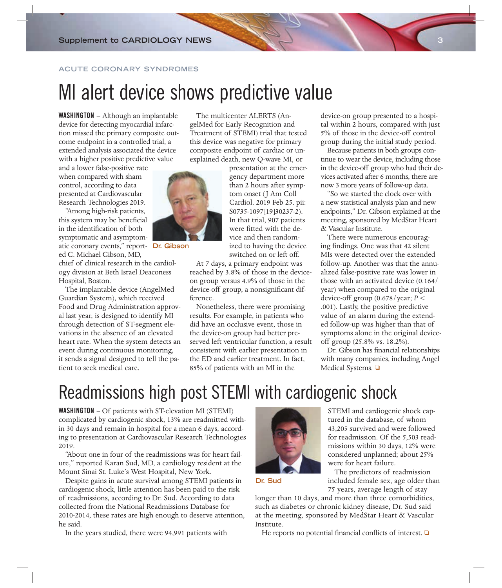#### **ACUTE CORONARY SYNDROMES**

## MI alert device shows predictive value

WASHINGTON – Although an implantable device for detecting myocardial infarction missed the primary composite outcome endpoint in a controlled trial, a extended analysis associated the device with a higher positive predictive value

and a lower false-positive rate when compared with sham control, according to data presented at Cardiovascular Research Technologies 2019.

"Among high-risk patients, this system may be beneficial in the identification of both symptomatic and asymptomatic coronary events," report-**Dr. Gibson**ed C. Michael Gibson, MD,

chief of clinical research in the cardiology division at Beth Israel Deaconess Hospital, Boston.

The implantable device (AngelMed Guardian System), which received Food and Drug Administration approval last year, is designed to identify MI through detection of ST-segment elevations in the absence of an elevated heart rate. When the system detects an event during continuous monitoring, it sends a signal designed to tell the patient to seek medical care.

The multicenter ALERTS (AngelMed for Early Recognition and Treatment of STEMI) trial that tested this device was negative for primary composite endpoint of cardiac or unexplained death, new Q-wave MI, or

> presentation at the emergency department more than 2 hours after symptom onset (J Am Coll Cardiol. 2019 Feb 25. pii: S0735-1097[19]30237-2). In that trial, 907 patients were fitted with the device and then randomized to having the device switched on or left off.

At 7 days, a primary endpoint was reached by 3.8% of those in the deviceon group versus 4.9% of those in the device-off group, a nonsignificant difference.

Nonetheless, there were promising results. For example, in patients who did have an occlusive event, those in the device-on group had better preserved left ventricular function, a result consistent with earlier presentation in the ED and earlier treatment. In fact, 85% of patients with an MI in the

device-on group presented to a hospital within 2 hours, compared with just 5% of those in the device-off control group during the initial study period.

Because patients in both groups continue to wear the device, including those in the device-off group who had their devices activated after 6 months, there are now 3 more years of follow-up data.

"So we started the clock over with a new statistical analysis plan and new endpoints," Dr. Gibson explained at the meeting, sponsored by MedStar Heart & Vascular Institute.

There were numerous encouraging findings. One was that 42 silent MIs were detected over the extended follow-up. Another was that the annualized false-positive rate was lower in those with an activated device (0.164/ year) when compared to the original device-off group (0.678/year; *P* < .001). Lastly, the positive predictive value of an alarm during the extended follow-up was higher than that of symptoms alone in the original deviceoff group (25.8% vs. 18.2%).

Dr. Gibson has financial relationships with many companies, including Angel Medical Systems.  $\square$ 

### Readmissions high post STEMI with cardiogenic shock

WASHINGTON – Of patients with ST-elevation MI (STEMI) complicated by cardiogenic shock, 13% are readmitted within 30 days and remain in hospital for a mean 6 days, according to presentation at Cardiovascular Research Technologies 2019.

"About one in four of the readmissions was for heart failure," reported Karan Sud, MD, a cardiology resident at the Mount Sinai St. Luke's West Hospital, New York.

Despite gains in acute survival among STEMI patients in cardiogenic shock, little attention has been paid to the risk of readmissions, according to Dr. Sud. According to data collected from the National Readmissions Database for 2010-2014, these rates are high enough to deserve attention, he said.

In the years studied, there were 94,991 patients with



STEMI and cardiogenic shock captured in the database, of whom 43,205 survived and were followed for readmission. Of the 5,503 readmissions within 30 days, 12% were considered unplanned; about 25% were for heart failure.

The predictors of readmission included female sex, age older than 75 years, average length of stay

longer than 10 days, and more than three comorbidities, such as diabetes or chronic kidney disease, Dr. Sud said at the meeting, sponsored by MedStar Heart & Vascular Institute.

He reports no potential financial conflicts of interest.  $\Box$